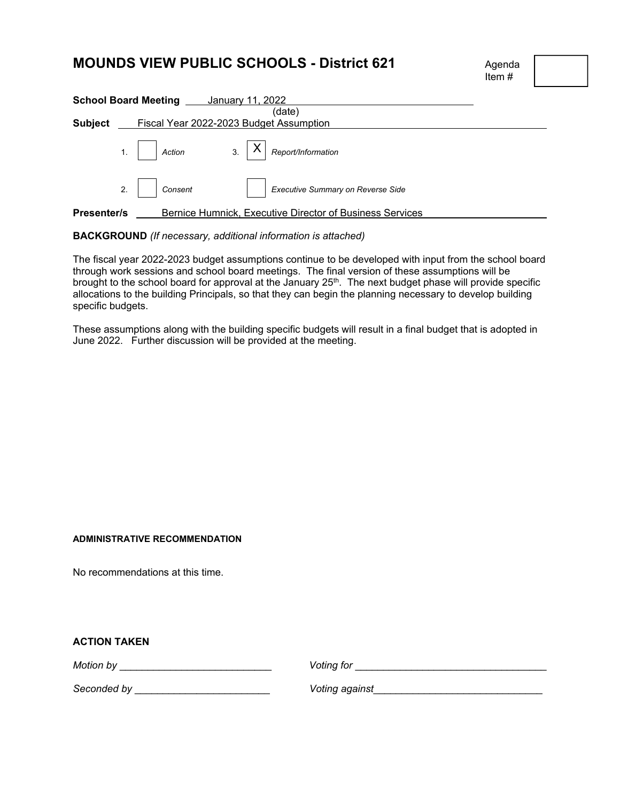# **MOUNDS VIEW PUBLIC SCHOOLS - District 621** Agenda

Item #

| <b>School Board Meeting ____ January 11, 2022</b> |    |                                                          |  |                                                                                                                     |  |  |  |  |
|---------------------------------------------------|----|----------------------------------------------------------|--|---------------------------------------------------------------------------------------------------------------------|--|--|--|--|
|                                                   |    |                                                          |  | (date)                                                                                                              |  |  |  |  |
| <b>Subject</b>                                    |    | Fiscal Year 2022-2023 Budget Assumption                  |  |                                                                                                                     |  |  |  |  |
|                                                   |    |                                                          |  | 1. Action $\begin{array}{ c c c c c }\n\hline\n1. & \multicolumn{1}{ c }{3.} & X & Report/Information\n\end{array}$ |  |  |  |  |
|                                                   | 2. | Consent                                                  |  | Executive Summary on Reverse Side                                                                                   |  |  |  |  |
| <b>Presenter/s</b>                                |    | Bernice Humnick, Executive Director of Business Services |  |                                                                                                                     |  |  |  |  |

**BACKGROUND** *(If necessary, additional information is attached)* 

The fiscal year 2022-2023 budget assumptions continue to be developed with input from the school board through work sessions and school board meetings. The final version of these assumptions will be brought to the school board for approval at the January 25<sup>th</sup>. The next budget phase will provide specific allocations to the building Principals, so that they can begin the planning necessary to develop building specific budgets.

These assumptions along with the building specific budgets will result in a final budget that is adopted in June 2022. Further discussion will be provided at the meeting.

#### **ADMINISTRATIVE RECOMMENDATION**

No recommendations at this time.

|  |  |  |  | <b>ACTION TAKEN</b> |
|--|--|--|--|---------------------|
|--|--|--|--|---------------------|

*Motion by* \_\_\_\_\_\_\_\_\_\_\_\_\_\_\_\_\_\_\_\_\_\_\_\_\_\_\_ *Voting for* \_\_\_\_\_\_\_\_\_\_\_\_\_\_\_\_\_\_\_\_\_\_\_\_\_\_\_\_\_\_\_\_\_\_

*Seconded by* \_\_\_\_\_\_\_\_\_\_\_\_\_\_\_\_\_\_\_\_\_\_\_\_ *Voting against*\_\_\_\_\_\_\_\_\_\_\_\_\_\_\_\_\_\_\_\_\_\_\_\_\_\_\_\_\_\_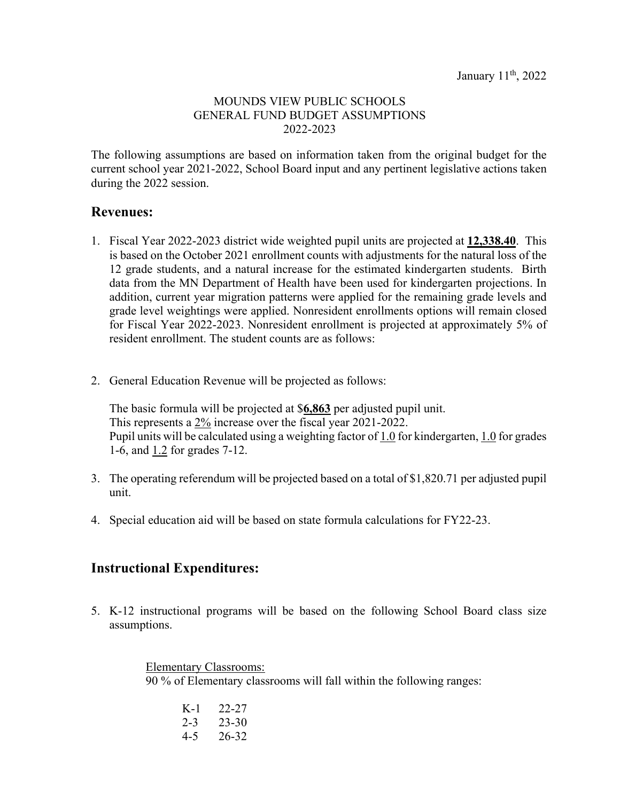#### MOUNDS VIEW PUBLIC SCHOOLS GENERAL FUND BUDGET ASSUMPTIONS 2022-2023

The following assumptions are based on information taken from the original budget for the current school year 2021-2022, School Board input and any pertinent legislative actions taken during the 2022 session.

### **Revenues:**

- 1. Fiscal Year 2022-2023 district wide weighted pupil units are projected at **12,338.40**. This is based on the October 2021 enrollment counts with adjustments for the natural loss of the 12 grade students, and a natural increase for the estimated kindergarten students. Birth data from the MN Department of Health have been used for kindergarten projections. In addition, current year migration patterns were applied for the remaining grade levels and grade level weightings were applied. Nonresident enrollments options will remain closed for Fiscal Year 2022-2023. Nonresident enrollment is projected at approximately 5% of resident enrollment. The student counts are as follows:
- 2. General Education Revenue will be projected as follows:

The basic formula will be projected at \$**6,863** per adjusted pupil unit. This represents a 2% increase over the fiscal year 2021-2022. Pupil units will be calculated using a weighting factor of 1.0 for kindergarten, 1.0 for grades 1-6, and 1.2 for grades 7-12.

- 3. The operating referendum will be projected based on a total of \$1,820.71 per adjusted pupil unit.
- 4. Special education aid will be based on state formula calculations for FY22-23.

## **Instructional Expenditures:**

5. K-12 instructional programs will be based on the following School Board class size assumptions.

> Elementary Classrooms: 90 % of Elementary classrooms will fall within the following ranges:

| K-1     | 22-27     |
|---------|-----------|
| $2 - 3$ | $23 - 30$ |
| $4 - 5$ | 26-32     |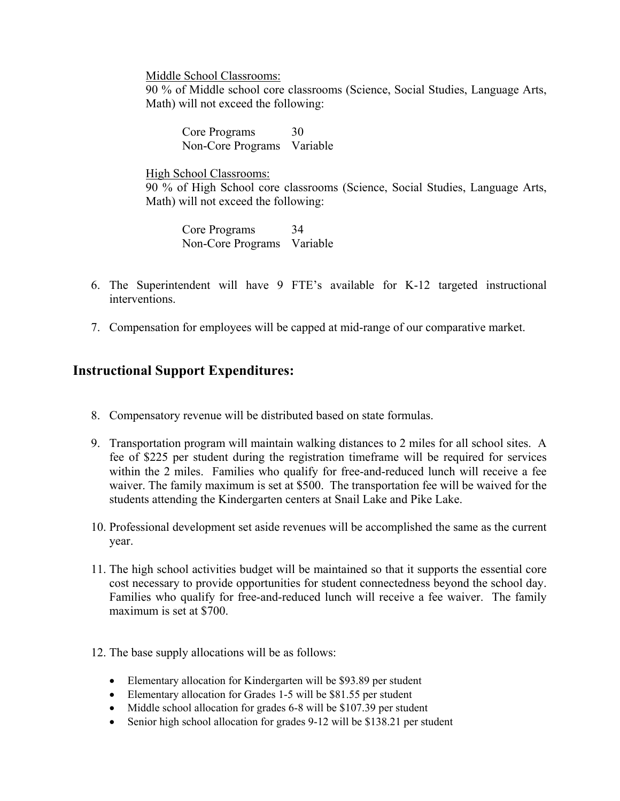Middle School Classrooms:

90 % of Middle school core classrooms (Science, Social Studies, Language Arts, Math) will not exceed the following:

Core Programs 30 Non-Core Programs Variable

High School Classrooms: 90 % of High School core classrooms (Science, Social Studies, Language Arts, Math) will not exceed the following:

 Core Programs 34 Non-Core Programs Variable

- 6. The Superintendent will have 9 FTE's available for K-12 targeted instructional interventions.
- 7. Compensation for employees will be capped at mid-range of our comparative market.

## **Instructional Support Expenditures:**

- 8. Compensatory revenue will be distributed based on state formulas.
- 9. Transportation program will maintain walking distances to 2 miles for all school sites. A fee of \$225 per student during the registration timeframe will be required for services within the 2 miles. Families who qualify for free-and-reduced lunch will receive a fee waiver. The family maximum is set at \$500. The transportation fee will be waived for the students attending the Kindergarten centers at Snail Lake and Pike Lake.
- 10. Professional development set aside revenues will be accomplished the same as the current year.
- 11. The high school activities budget will be maintained so that it supports the essential core cost necessary to provide opportunities for student connectedness beyond the school day. Families who qualify for free-and-reduced lunch will receive a fee waiver. The family maximum is set at \$700.
- 12. The base supply allocations will be as follows:
	- Elementary allocation for Kindergarten will be \$93.89 per student
	- Elementary allocation for Grades 1-5 will be \$81.55 per student
	- Middle school allocation for grades 6-8 will be \$107.39 per student
	- Senior high school allocation for grades 9-12 will be \$138.21 per student